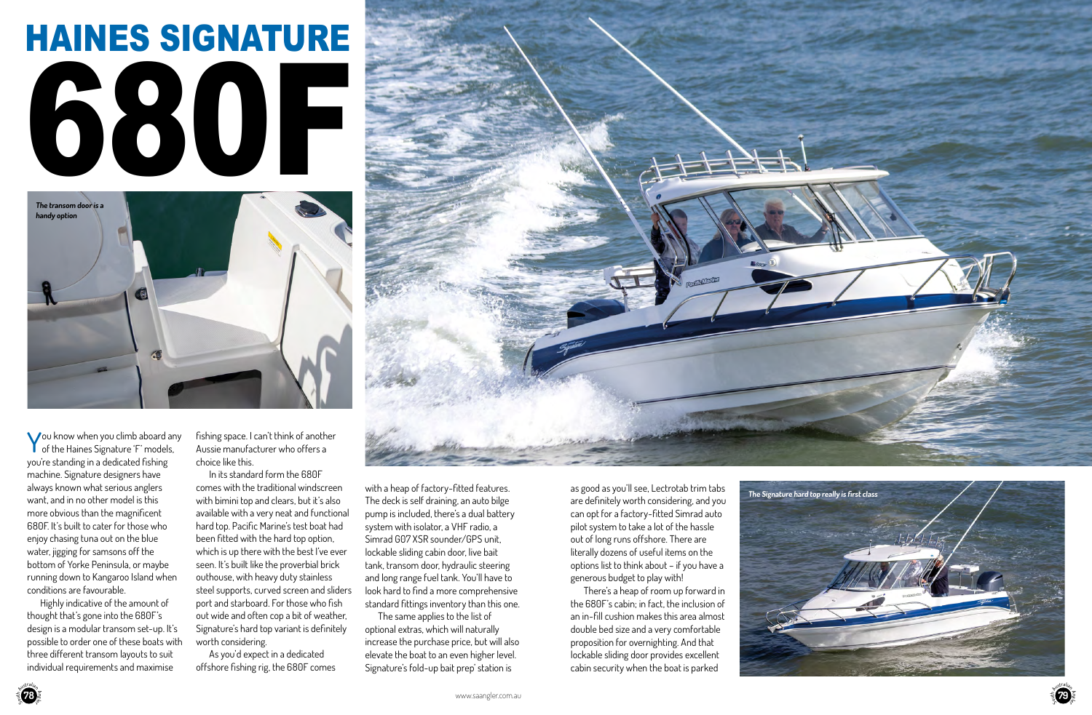# HAINES SIGNATURE 680F

You know when you climb aboard any **T** of the Haines Signature 'F' models, you're standing in a dedicated fishing machine. Signature designers have always known what serious anglers want, and in no other model is this more obvious than the magnificent 680F. It's built to cater for those who enjoy chasing tuna out on the blue water, jigging for samsons off the bottom of Yorke Peninsula, or maybe running down to Kangaroo Island when conditions are favourable.

Highly indicative of the amount of thought that's gone into the 680F's design is a modular transom set-up. It's possible to order one of these boats with three different transom layouts to suit individual requirements and maximise

fishing space. I can't think of another Aussie manufacturer who offers a choice like this.

In its standard form the 680F comes with the traditional windscreen with bimini top and clears, but it's also available with a very neat and functional hard top. Pacific Marine's test boat had been fitted with the hard top option, which is up there with the best I've ever seen. It's built like the proverbial brick outhouse, with heavy duty stainless steel supports, curved screen and sliders port and starboard. For those who fish out wide and often cop a bit of weather, Signature's hard top variant is definitely worth considering.

As you'd expect in a dedicated offshore fishing rig, the 680F comes